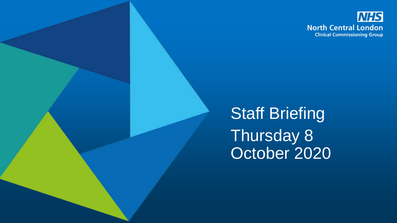

Staff Briefing Thursday 8 October 2020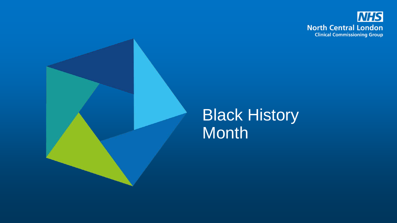

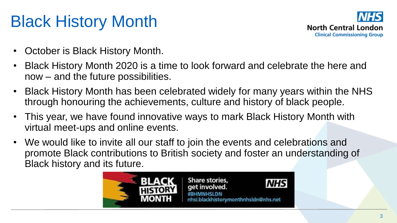# Black History Month

![](_page_2_Picture_1.jpeg)

- October is Black History Month.
- Black History Month 2020 is a time to look forward and celebrate the here and now – and the future possibilities.
- Black History Month has been celebrated widely for many years within the NHS through honouring the achievements, culture and history of black people.
- This year, we have found innovative ways to mark Black History Month with virtual meet-ups and online events.
- We would like to invite all our staff to join the events and celebrations and promote Black contributions to British society and foster an understanding of Black history and its future.

![](_page_2_Picture_7.jpeg)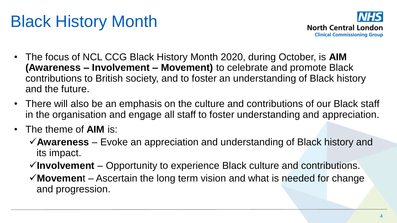# Black History Month

![](_page_3_Picture_1.jpeg)

- The focus of NCL CCG Black History Month 2020, during October, is **AIM (Awareness – Involvement – Movement)** to celebrate and promote Black contributions to British society, and to foster an understanding of Black history and the future.
- There will also be an emphasis on the culture and contributions of our Black staff in the organisation and engage all staff to foster understanding and appreciation.
- The theme of **AIM** is:
	- **Awareness** Evoke an appreciation and understanding of Black history and its impact.
	- **Involvement** Opportunity to experience Black culture and contributions.
	- **Movemen**t Ascertain the long term vision and what is needed for change and progression.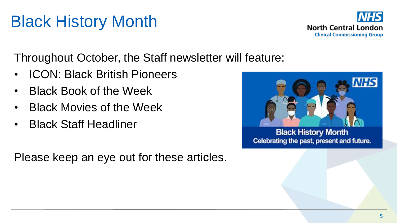# Black History Month

![](_page_4_Picture_1.jpeg)

Throughout October, the Staff newsletter will feature:

- ICON: Black British Pioneers
- Black Book of the Week
- Black Movies of the Week
- Black Staff Headliner

Please keep an eye out for these articles.

![](_page_4_Picture_8.jpeg)

**Black History Month** Celebrating the past, present and future.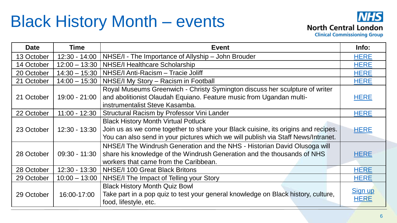#### Black History Month – events

![](_page_5_Picture_1.jpeg)

**Clinical Commissioning Group** 

| <b>Date</b> | <b>Time</b>     | <b>Event</b>                                                                                                                                                                                                         | Info:                         |
|-------------|-----------------|----------------------------------------------------------------------------------------------------------------------------------------------------------------------------------------------------------------------|-------------------------------|
| 13 October  | $12:30 - 14:00$ | NHSE/I - The Importance of Allyship – John Brouder                                                                                                                                                                   | <b>HERE</b>                   |
| 14 October  | $12:00 - 13:30$ | <b>NHSE/I Healthcare Scholarship</b>                                                                                                                                                                                 | <b>HERE</b>                   |
| 20 October  | $14:30 - 15:30$ | NHSE/I Anti-Racism - Tracie Joliff                                                                                                                                                                                   | <b>HERE</b>                   |
| 21 October  | $14:00 - 15:30$ | NHSE/I My Story - Racism in Football                                                                                                                                                                                 | <b>HERE</b>                   |
| 21 October  | 19:00 - 21:00   | Royal Museums Greenwich - Christy Symington discuss her sculpture of writer<br>and abolitionist Olaudah Equiano. Feature music from Ugandan multi-<br>instrumentalist Steve Kasamba.                                 | <b>HERE</b>                   |
| 22 October  | $11:00 - 12:30$ | Structural Racism by Professor Vini Lander                                                                                                                                                                           | <b>HERE</b>                   |
| 23 October  | $12:30 - 13:30$ | <b>Black History Month Virtual Potluck</b><br>Join us as we come together to share your Black cuisine, its origins and recipes.<br>You can also send in your pictures which we will publish via Staff News/Intranet. | <b>HERE</b>                   |
| 28 October  | $09:30 - 11:30$ | NHSE/I The Windrush Generation and the NHS - Historian David Olusoga will<br>share his knowledge of the Windrush Generation and the thousands of NHS<br>workers that came from the Caribbean.                        | <b>HERE</b>                   |
| 28 October  | 12:30 - 13:30   | NHSE/I 100 Great Black Britons                                                                                                                                                                                       | <b>HERE</b>                   |
| 29 October  | $10:00 - 13:00$ | NHSE/I The Impact of Telling your Story                                                                                                                                                                              | <b>HERE</b>                   |
| 29 October  | 16:00-17:00     | <b>Black History Month Quiz Bowl</b><br>Take part in a pop quiz to test your general knowledge on Black history, culture,<br>food, lifestyle, etc.                                                                   | <b>Sign up</b><br><b>HERE</b> |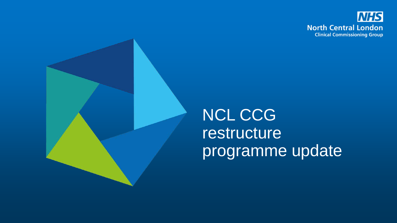![](_page_6_Picture_0.jpeg)

![](_page_6_Picture_1.jpeg)

## NCL CCG restructure programme update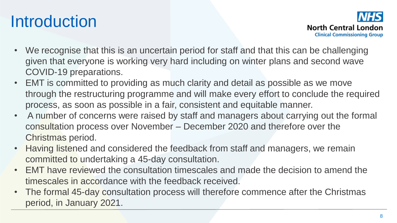# **Introduction**

**North Central London Clinical Commissioning Group** 

- We recognise that this is an uncertain period for staff and that this can be challenging given that everyone is working very hard including on winter plans and second wave COVID-19 preparations.
- EMT is committed to providing as much clarity and detail as possible as we move through the restructuring programme and will make every effort to conclude the required process, as soon as possible in a fair, consistent and equitable manner.
- A number of concerns were raised by staff and managers about carrying out the formal consultation process over November – December 2020 and therefore over the Christmas period.
- Having listened and considered the feedback from staff and managers, we remain committed to undertaking a 45-day consultation.
- EMT have reviewed the consultation timescales and made the decision to amend the timescales in accordance with the feedback received.
- The formal 45-day consultation process will therefore commence after the Christmas period, in January 2021.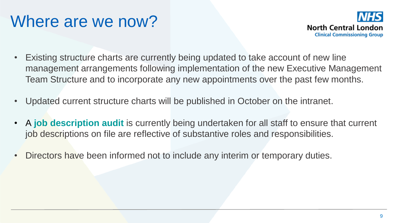#### Where are we now?

![](_page_8_Picture_1.jpeg)

- Existing structure charts are currently being updated to take account of new line management arrangements following implementation of the new Executive Management Team Structure and to incorporate any new appointments over the past few months.
- Updated current structure charts will be published in October on the intranet.
- A **job description audit** is currently being undertaken for all staff to ensure that current job descriptions on file are reflective of substantive roles and responsibilities.
- Directors have been informed not to include any interim or temporary duties.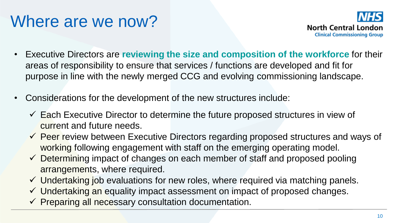#### Where are we now?

![](_page_9_Picture_1.jpeg)

- Executive Directors are **reviewing the size and composition of the workforce** for their areas of responsibility to ensure that services / functions are developed and fit for purpose in line with the newly merged CCG and evolving commissioning landscape.
- Considerations for the development of the new structures include:
	- $\checkmark$  Each Executive Director to determine the future proposed structures in view of current and future needs.
	- $\checkmark$  Peer review between Executive Directors regarding proposed structures and ways of working following engagement with staff on the emerging operating model.
	- $\checkmark$  Determining impact of changes on each member of staff and proposed pooling arrangements, where required.
	- $\checkmark$  Undertaking job evaluations for new roles, where required via matching panels.
	- $\checkmark$  Undertaking an equality impact assessment on impact of proposed changes.
	- $\checkmark$  Preparing all necessary consultation documentation.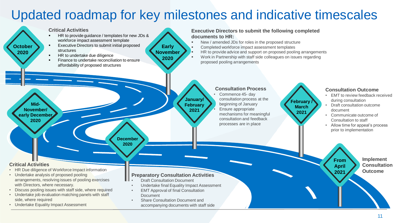#### Updated roadmap for key milestones and indicative timescales

![](_page_10_Figure_1.jpeg)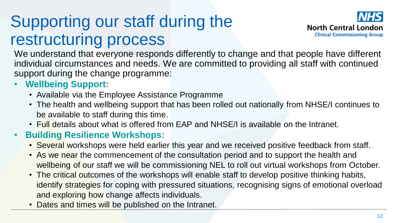# Supporting our staff during the restructuring process

![](_page_11_Picture_1.jpeg)

We understand that everyone responds differently to change and that people have different individual circumstances and needs. We are committed to providing all staff with continued support during the change programme:

#### • **Wellbeing Support:**

- Available via the Employee Assistance Programme
- The health and wellbeing support that has been rolled out nationally from NHSE/I continues to be available to staff during this time.
- Full details about what is offered from EAP and NHSE/I is available on the Intranet.

#### • **Building Resilience Workshops:**

- Several workshops were held earlier this year and we received positive feedback from staff.
- As we near the commencement of the consultation period and to support the health and wellbeing of our staff we will be commissioning NEL to roll out virtual workshops from October.
- The critical outcomes of the workshops will enable staff to develop positive thinking habits, identify strategies for coping with pressured situations, recognising signs of emotional overload and exploring how change affects individuals.
- Dates and times will be published on the Intranet.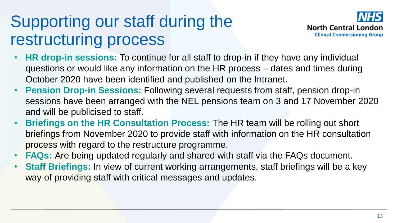# Supporting our staff during the restructuring process

![](_page_12_Picture_1.jpeg)

- **HR drop-in sessions:** To continue for all staff to drop-in if they have any individual questions or would like any information on the HR process – dates and times during October 2020 have been identified and published on the Intranet.
- **Pension Drop-in Sessions:** Following several requests from staff, pension drop-in sessions have been arranged with the NEL pensions team on 3 and 17 November 2020 and will be publicised to staff.
- **Briefings on the HR Consultation Process:** The HR team will be rolling out short briefings from November 2020 to provide staff with information on the HR consultation process with regard to the restructure programme.
- **FAQs:** Are being updated regularly and shared with staff via the FAQs document.
- **Staff Briefings:** In view of current working arrangements, staff briefings will be a key way of providing staff with critical messages and updates.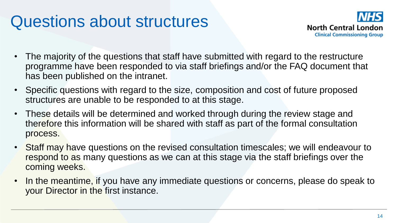#### Questions about structures

![](_page_13_Picture_1.jpeg)

- The majority of the questions that staff have submitted with regard to the restructure programme have been responded to via staff briefings and/or the FAQ document that has been published on the intranet.
- Specific questions with regard to the size, composition and cost of future proposed structures are unable to be responded to at this stage.
- These details will be determined and worked through during the review stage and therefore this information will be shared with staff as part of the formal consultation process.
- Staff may have questions on the revised consultation timescales; we will endeavour to respond to as many questions as we can at this stage via the staff briefings over the coming weeks.
- In the meantime, if you have any immediate questions or concerns, please do speak to your Director in the first instance.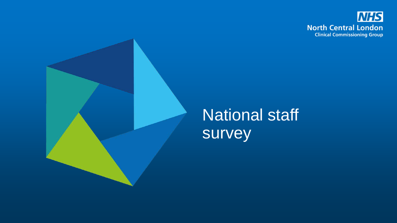![](_page_14_Picture_0.jpeg)

![](_page_14_Picture_1.jpeg)

#### National staff survey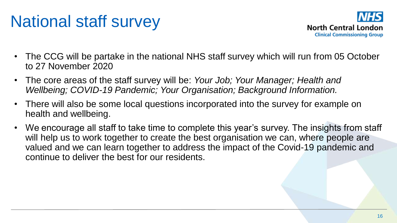# National staff survey

![](_page_15_Picture_1.jpeg)

- The CCG will be partake in the national NHS staff survey which will run from 05 October to 27 November 2020
- The core areas of the staff survey will be: *Your Job; Your Manager; Health and Wellbeing; COVID-19 Pandemic; Your Organisation; Background Information.*
- There will also be some local questions incorporated into the survey for example on health and wellbeing.
- We encourage all staff to take time to complete this year's survey. The insights from staff will help us to work together to create the best organisation we can, where people are valued and we can learn together to address the impact of the Covid-19 pandemic and continue to deliver the best for our residents.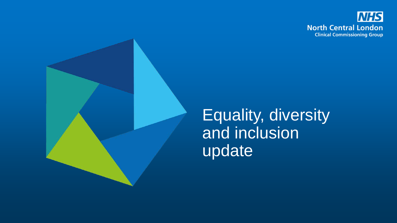![](_page_16_Picture_0.jpeg)

![](_page_16_Picture_1.jpeg)

Equality, diversity and inclusion update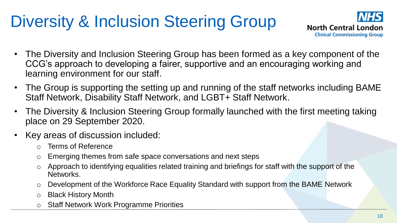# Diversity & Inclusion Steering Group

![](_page_17_Picture_1.jpeg)

- The Diversity and Inclusion Steering Group has been formed as a key component of the CCG's approach to developing a fairer, supportive and an encouraging working and learning environment for our staff.
- The Group is supporting the setting up and running of the staff networks including BAME Staff Network, Disability Staff Network, and LGBT+ Staff Network.
- The Diversity & Inclusion Steering Group formally launched with the first meeting taking place on 29 September 2020.
- Key areas of discussion included:
	- Terms of Reference
	- o Emerging themes from safe space conversations and next steps
	- Approach to identifying equalities related training and briefings for staff with the support of the Networks.
	- Development of the Workforce Race Equality Standard with support from the BAME Network
	- o Black History Month
	- o Staff Network Work Programme Priorities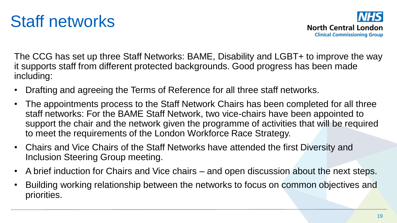#### Staff networks

![](_page_18_Picture_1.jpeg)

The CCG has set up three Staff Networks: BAME, Disability and LGBT+ to improve the way it supports staff from different protected backgrounds. Good progress has been made including:

- Drafting and agreeing the Terms of Reference for all three staff networks.
- The appointments process to the Staff Network Chairs has been completed for all three staff networks: For the BAME Staff Network, two vice-chairs have been appointed to support the chair and the network given the programme of activities that will be required to meet the requirements of the London Workforce Race Strategy.
- Chairs and Vice Chairs of the Staff Networks have attended the first Diversity and Inclusion Steering Group meeting.
- A brief induction for Chairs and Vice chairs and open discussion about the next steps.
- Building working relationship between the networks to focus on common objectives and priorities.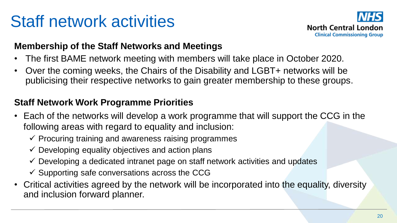# Staff network activities

![](_page_19_Picture_1.jpeg)

#### **Membership of the Staff Networks and Meetings**

- The first BAME network meeting with members will take place in October 2020.
- Over the coming weeks, the Chairs of the Disability and LGBT+ networks will be publicising their respective networks to gain greater membership to these groups.

#### **Staff Network Work Programme Priorities**

- Each of the networks will develop a work programme that will support the CCG in the following areas with regard to equality and inclusion:
	- $\checkmark$  Procuring training and awareness raising programmes
	- $\checkmark$  Developing equality objectives and action plans
	- $\checkmark$  Developing a dedicated intranet page on staff network activities and updates
	- $\checkmark$  Supporting safe conversations across the CCG
- Critical activities agreed by the network will be incorporated into the equality, diversity and inclusion forward planner.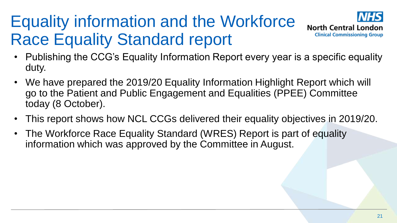# Equality information and the Workforce Race Equality Standard report

![](_page_20_Picture_1.jpeg)

- Publishing the CCG's Equality Information Report every year is a specific equality duty.
- We have prepared the 2019/20 Equality Information Highlight Report which will go to the Patient and Public Engagement and Equalities (PPEE) Committee today (8 October).
- This report shows how NCL CCGs delivered their equality objectives in 2019/20.
- The Workforce Race Equality Standard (WRES) Report is part of equality information which was approved by the Committee in August.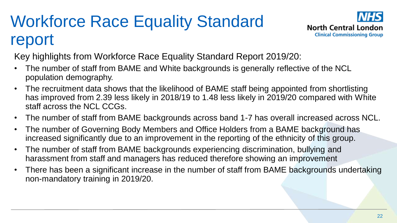# Workforce Race Equality Standard report

![](_page_21_Picture_1.jpeg)

Key highlights from Workforce Race Equality Standard Report 2019/20:

- The number of staff from BAME and White backgrounds is generally reflective of the NCL population demography.
- The recruitment data shows that the likelihood of BAME staff being appointed from shortlisting has improved from 2.39 less likely in 2018/19 to 1.48 less likely in 2019/20 compared with White staff across the NCL CCGs.
- The number of staff from BAME backgrounds across band 1-7 has overall increased across NCL.
- The number of Governing Body Members and Office Holders from a BAME background has increased significantly due to an improvement in the reporting of the ethnicity of this group.
- The number of staff from BAME backgrounds experiencing discrimination, bullying and harassment from staff and managers has reduced therefore showing an improvement
- There has been a significant increase in the number of staff from BAME backgrounds undertaking non-mandatory training in 2019/20.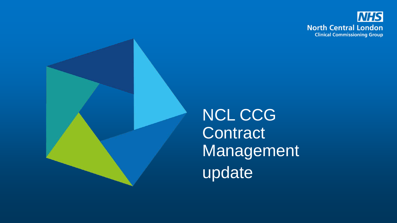![](_page_22_Picture_0.jpeg)

![](_page_22_Picture_1.jpeg)

NCL CCG **Contract Management** update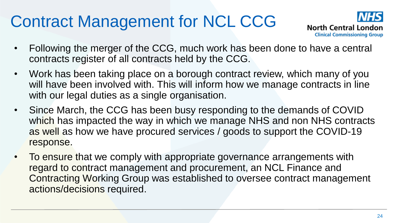# Contract Management for NCL CCG

![](_page_23_Picture_1.jpeg)

- Following the merger of the CCG, much work has been done to have a central contracts register of all contracts held by the CCG.
- Work has been taking place on a borough contract review, which many of you will have been involved with. This will inform how we manage contracts in line with our legal duties as a single organisation.
- Since March, the CCG has been busy responding to the demands of COVID which has impacted the way in which we manage NHS and non NHS contracts as well as how we have procured services / goods to support the COVID-19 response.
- To ensure that we comply with appropriate governance arrangements with regard to contract management and procurement, an NCL Finance and Contracting Working Group was established to oversee contract management actions/decisions required.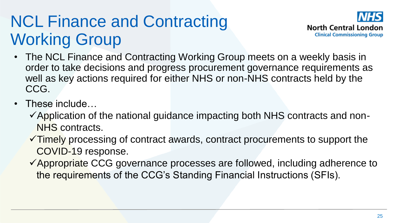# NCL Finance and Contracting Working Group

![](_page_24_Picture_1.jpeg)

- The NCL Finance and Contracting Working Group meets on a weekly basis in order to take decisions and progress procurement governance requirements as well as key actions required for either NHS or non-NHS contracts held by the CCG.
- These include...
	- $\checkmark$  Application of the national guidance impacting both NHS contracts and non-NHS contracts.
	- $\checkmark$ Timely processing of contract awards, contract procurements to support the COVID-19 response.
	- $\checkmark$  Appropriate CCG governance processes are followed, including adherence to the requirements of the CCG's Standing Financial Instructions (SFIs).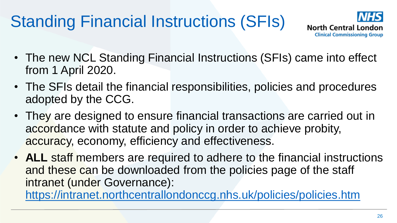# Standing Financial Instructions (SFIs)

![](_page_25_Picture_1.jpeg)

- The new NCL Standing Financial Instructions (SFIs) came into effect from 1 April 2020.
- The SFIs detail the financial responsibilities, policies and procedures adopted by the CCG.
- They are designed to ensure financial transactions are carried out in accordance with statute and policy in order to achieve probity, accuracy, economy, efficiency and effectiveness.
- **ALL** staff members are required to adhere to the financial instructions and these can be downloaded from the policies page of the staff intranet (under Governance):

<https://intranet.northcentrallondonccg.nhs.uk/policies/policies.htm>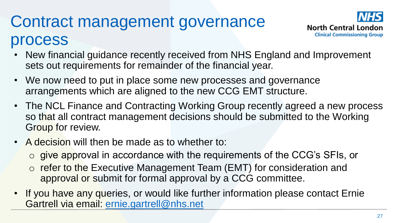# Contract management governance process

![](_page_26_Picture_1.jpeg)

- New financial guidance recently received from NHS England and Improvement sets out requirements for remainder of the financial year.
- We now need to put in place some new processes and governance arrangements which are aligned to the new CCG EMT structure.
- The NCL Finance and Contracting Working Group recently agreed a new process so that all contract management decisions should be submitted to the Working Group for review.
- A decision will then be made as to whether to:
	- o give approval in accordance with the requirements of the CCG's SFIs, or
	- o refer to the Executive Management Team (EMT) for consideration and approval or submit for formal approval by a CCG committee.
- If you have any queries, or would like further information please contact Ernie Gartrell via email: [ernie.gartrell@nhs.net](mailto:ernie.gartrell@nhs.net)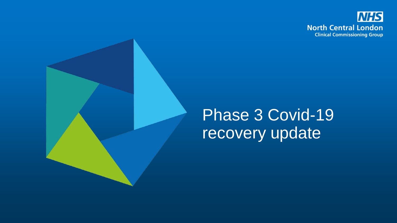![](_page_27_Picture_0.jpeg)

#### Phase 3 Covid-19 recovery update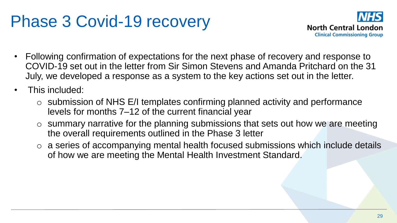#### Phase 3 Covid-19 recovery

![](_page_28_Picture_1.jpeg)

- Following confirmation of expectations for the next phase of recovery and response to COVID-19 set out in the letter from Sir Simon Stevens and Amanda Pritchard on the 31 July, we developed a response as a system to the key actions set out in the letter.
- This included:
	- $\circ$  submission of NHS E/I templates confirming planned activity and performance levels for months 7–12 of the current financial year
	- $\circ$  summary narrative for the planning submissions that sets out how we are meeting the overall requirements outlined in the Phase 3 letter
	- o a series of accompanying mental health focused submissions which include details of how we are meeting the Mental Health Investment Standard.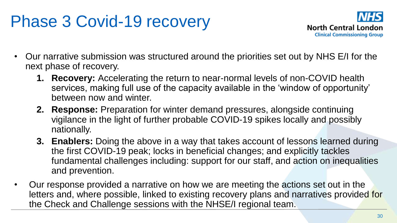### Phase 3 Covid-19 recovery

![](_page_29_Picture_1.jpeg)

- Our narrative submission was structured around the priorities set out by NHS E/I for the next phase of recovery.
	- **1. Recovery:** Accelerating the return to near-normal levels of non-COVID health services, making full use of the capacity available in the 'window of opportunity' between now and winter.
	- **2. Response:** Preparation for winter demand pressures, alongside continuing vigilance in the light of further probable COVID-19 spikes locally and possibly nationally.
	- **3. Enablers:** Doing the above in a way that takes account of lessons learned during the first COVID-19 peak; locks in beneficial changes; and explicitly tackles fundamental challenges including: support for our staff, and action on inequalities and prevention.
- Our response provided a narrative on how we are meeting the actions set out in the letters and, where possible, linked to existing recovery plans and narratives provided for the Check and Challenge sessions with the NHSE/I regional team.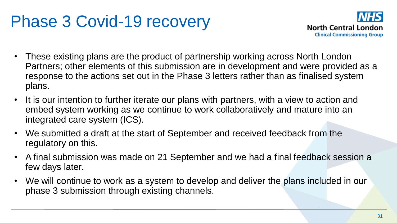#### Phase 3 Covid-19 recovery

![](_page_30_Picture_1.jpeg)

- These existing plans are the product of partnership working across North London Partners; other elements of this submission are in development and were provided as a response to the actions set out in the Phase 3 letters rather than as finalised system plans.
- It is our intention to further iterate our plans with partners, with a view to action and embed system working as we continue to work collaboratively and mature into an integrated care system (ICS).
- We submitted a draft at the start of September and received feedback from the regulatory on this.
- A final submission was made on 21 September and we had a final feedback session a few days later.
- We will continue to work as a system to develop and deliver the plans included in our phase 3 submission through existing channels.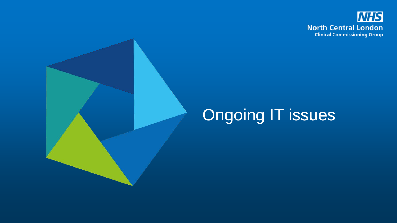![](_page_31_Picture_0.jpeg)

# Ongoing IT issues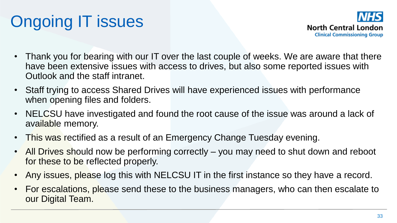# Ongoing IT issues

![](_page_32_Picture_1.jpeg)

- Thank you for bearing with our IT over the last couple of weeks. We are aware that there have been extensive issues with access to drives, but also some reported issues with Outlook and the staff intranet.
- Staff trying to access Shared Drives will have experienced issues with performance when opening files and folders.
- NELCSU have investigated and found the root cause of the issue was around a lack of available memory.
- This was rectified as a result of an Emergency Change Tuesday evening.
- All Drives should now be performing correctly you may need to shut down and reboot for these to be reflected properly.
- Any issues, please log this with NELCSU IT in the first instance so they have a record.
- For escalations, please send these to the business managers, who can then escalate to our Digital Team.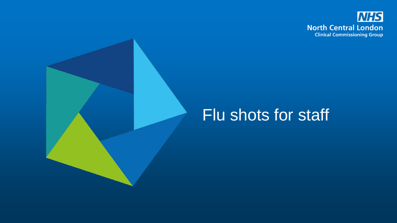![](_page_33_Picture_0.jpeg)

#### Flu shots for staff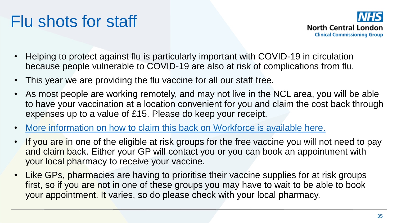# Flu shots for staff

![](_page_34_Picture_1.jpeg)

- Helping to protect against flu is particularly important with COVID-19 in circulation because people vulnerable to COVID-19 are also at risk of complications from flu.
- This year we are providing the flu vaccine for all our staff free.
- As most people are working remotely, and may not live in the NCL area, you will be able to have your vaccination at a location convenient for you and claim the cost back through expenses up to a value of £15. Please do keep your receipt.
- [More information on how to claim this back on Workforce is available here.](http://camdenccg.newsweaver.com/Newsletter/6pr6hdwc8281s5yhgimnod?a=6&p=6037494&t=356153)
- If you are in one of the eligible at risk groups for the free vaccine you will not need to pay and claim back. Either your GP will contact you or you can book an appointment with your local pharmacy to receive your vaccine.
- Like GPs, pharmacies are having to prioritise their vaccine supplies for at risk groups first, so if you are not in one of these groups you may have to wait to be able to book your appointment. It varies, so do please check with your local pharmacy.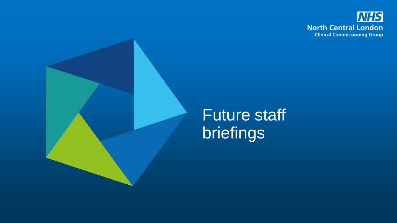![](_page_35_Picture_0.jpeg)

![](_page_35_Picture_1.jpeg)

#### Future staff briefings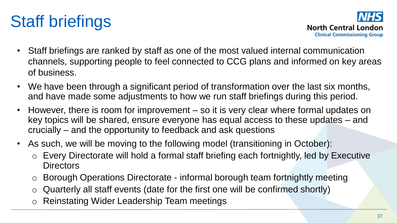# Staff briefings

![](_page_36_Picture_1.jpeg)

- Staff briefings are ranked by staff as one of the most valued internal communication channels, supporting people to feel connected to CCG plans and informed on key areas of business.
- We have been through a significant period of transformation over the last six months, and have made some adjustments to how we run staff briefings during this period.
- However, there is room for improvement so it is very clear where formal updates on key topics will be shared, ensure everyone has equal access to these updates – and crucially – and the opportunity to feedback and ask questions
- As such, we will be moving to the following model (transitioning in October):
	- o Every Directorate will hold a formal staff briefing each fortnightly, led by Executive **Directors**
	- o Borough Operations Directorate informal borough team fortnightly meeting
	- $\circ$  Quarterly all staff events (date for the first one will be confirmed shortly)
	- o Reinstating Wider Leadership Team meetings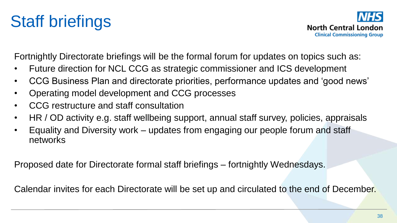![](_page_37_Picture_1.jpeg)

Fortnightly Directorate briefings will be the formal forum for updates on topics such as:

- Future direction for NCL CCG as strategic commissioner and ICS development
- CCG Business Plan and directorate priorities, performance updates and 'good news'
- Operating model development and CCG processes
- CCG restructure and staff consultation
- HR / OD activity e.g. staff wellbeing support, annual staff survey, policies, appraisals
- Equality and Diversity work updates from engaging our people forum and staff networks

Proposed date for Directorate formal staff briefings – fortnightly Wednesdays.

Calendar invites for each Directorate will be set up and circulated to the end of December.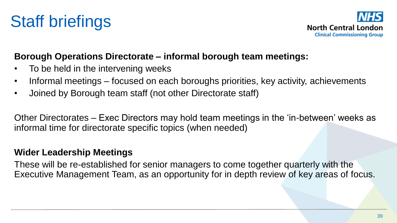![](_page_38_Picture_0.jpeg)

![](_page_38_Picture_1.jpeg)

#### **Borough Operations Directorate – informal borough team meetings:**

- To be held in the intervening weeks
- Informal meetings focused on each boroughs priorities, key activity, achievements
- Joined by Borough team staff (not other Directorate staff)

Other Directorates – Exec Directors may hold team meetings in the 'in-between' weeks as informal time for directorate specific topics (when needed)

#### **Wider Leadership Meetings**

These will be re-established for senior managers to come together quarterly with the Executive Management Team, as an opportunity for in depth review of key areas of focus.